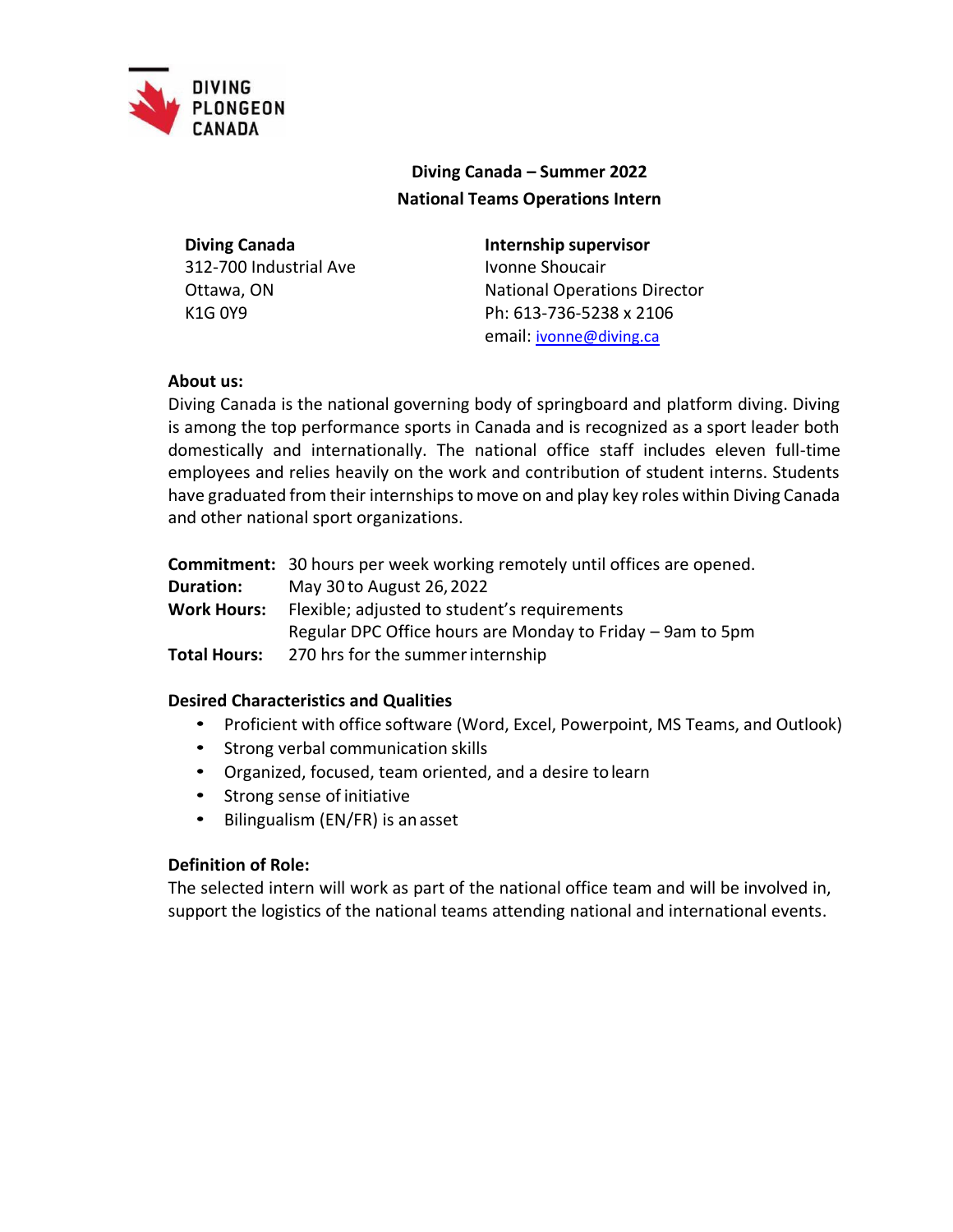

# **Diving Canada – Summer 2022 National Teams Operations Intern**

**Diving Canada** 312-700 Industrial Ave Ottawa, ON K1G 0Y9

## **Internship supervisor**

Ivonne Shoucair National Operations Director Ph: 613-736-5238 x 2106 email: [ivonne@diving.ca](mailto:ivonne@diving.ca)

# **About us:**

Diving Canada is the national governing body of springboard and platform diving. Diving is among the top performance sports in Canada and is recognized as a sport leader both domestically and internationally. The national office staff includes eleven full-time employees and relies heavily on the work and contribution of student interns. Students have graduated from their internships to move on and play key roles within Diving Canada and other national sport organizations.

|                     | <b>Commitment:</b> 30 hours per week working remotely until offices are opened. |
|---------------------|---------------------------------------------------------------------------------|
| <b>Duration:</b>    | May 30 to August 26, 2022                                                       |
| <b>Work Hours:</b>  | Flexible; adjusted to student's requirements                                    |
|                     | Regular DPC Office hours are Monday to Friday - 9am to 5pm                      |
| <b>Total Hours:</b> | 270 hrs for the summer internship                                               |
|                     |                                                                                 |

# **Desired Characteristics and Qualities**

- Proficient with office software (Word, Excel, Powerpoint, MS Teams, and Outlook)
- Strong verbal communication skills
- Organized, focused, team oriented, and a desire tolearn
- Strong sense of initiative
- Bilingualism (EN/FR) is anasset

# **Definition of Role:**

The selected intern will work as part of the national office team and will be involved in, support the logistics of the national teams attending national and international events.